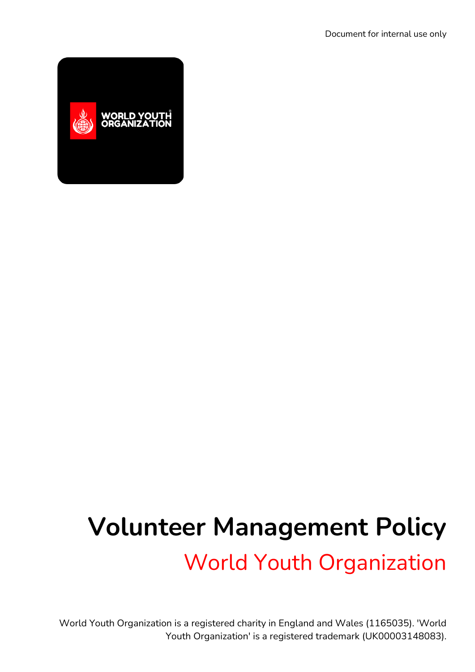

# **Volunteer Management Policy** World Youth Organization

World Youth Organization is a registered charity in England and Wales (1165035). 'World Youth Organization' is a registered trademark (UK00003148083).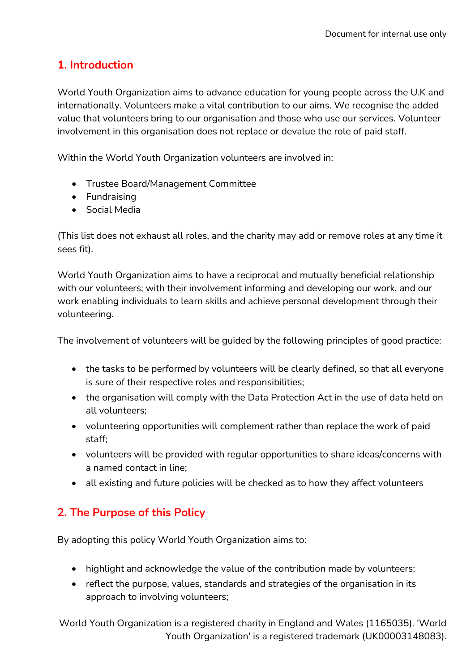# **1. Introduction**

World Youth Organization aims to advance education for young people across the U.K and internationally. Volunteers make a vital contribution to our aims. We recognise the added value that volunteers bring to our organisation and those who use our services. Volunteer involvement in this organisation does not replace or devalue the role of paid staff.

Within the World Youth Organization volunteers are involved in:

- Trustee Board/Management Committee
- **•** Fundraising
- Social Media

(This list does not exhaust all roles, and the charity may add or remove roles at any time it sees fit).

World Youth Organization aims to have a reciprocal and mutually beneficial relationship with our volunteers; with their involvement informing and developing our work, and our work enabling individuals to learn skills and achieve personal development through their volunteering.

The involvement of volunteers will be guided by the following principles of good practice:

- the tasks to be performed by volunteers will be clearly defined, so that all everyone is sure of their respective roles and responsibilities;
- the organisation will comply with the Data Protection Act in the use of data held on all volunteers;
- volunteering opportunities will complement rather than replace the work of paid staff;
- volunteers will be provided with regular opportunities to share ideas/concerns with a named contact in line;
- all existing and future policies will be checked as to how they affect volunteers

# **2. The Purpose of this Policy**

By adopting this policy World Youth Organization aims to:

- highlight and acknowledge the value of the contribution made by volunteers;
- reflect the purpose, values, standards and strategies of the organisation in its approach to involving volunteers;

World Youth Organization is a registered charity in England and Wales (1165035). 'World Youth Organization' is a registered trademark (UK00003148083).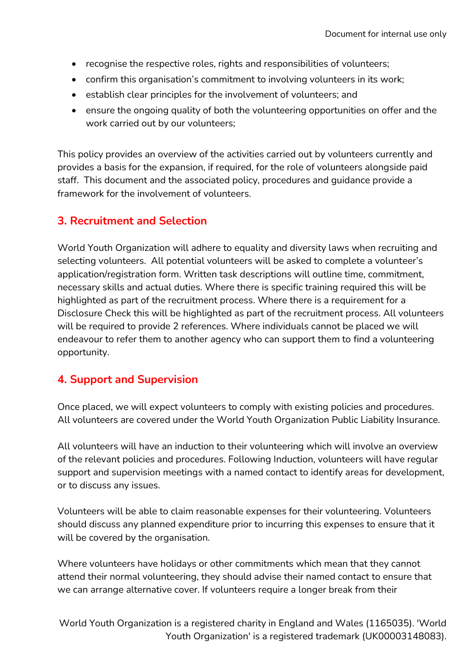- recognise the respective roles, rights and responsibilities of volunteers;
- confirm this organisation's commitment to involving volunteers in its work;
- establish clear principles for the involvement of volunteers; and
- ensure the ongoing quality of both the volunteering opportunities on offer and the work carried out by our volunteers;

This policy provides an overview of the activities carried out by volunteers currently and provides a basis for the expansion, if required, for the role of volunteers alongside paid staff. This document and the associated policy, procedures and guidance provide a framework for the involvement of volunteers.

#### **3. Recruitment and Selection**

World Youth Organization will adhere to equality and diversity laws when recruiting and selecting volunteers. All potential volunteers will be asked to complete a volunteer's application/registration form. Written task descriptions will outline time, commitment, necessary skills and actual duties. Where there is specific training required this will be highlighted as part of the recruitment process. Where there is a requirement for a Disclosure Check this will be highlighted as part of the recruitment process. All volunteers will be required to provide 2 references. Where individuals cannot be placed we will endeavour to refer them to another agency who can support them to find a volunteering opportunity.

#### **4. Support and Supervision**

Once placed, we will expect volunteers to comply with existing policies and procedures. All volunteers are covered under the World Youth Organization Public Liability Insurance.

All volunteers will have an induction to their volunteering which will involve an overview of the relevant policies and procedures. Following Induction, volunteers will have regular support and supervision meetings with a named contact to identify areas for development, or to discuss any issues.

Volunteers will be able to claim reasonable expenses for their volunteering. Volunteers should discuss any planned expenditure prior to incurring this expenses to ensure that it will be covered by the organisation.

Where volunteers have holidays or other commitments which mean that they cannot attend their normal volunteering, they should advise their named contact to ensure that we can arrange alternative cover. If volunteers require a longer break from their

World Youth Organization is a registered charity in England and Wales (1165035). 'World Youth Organization' is a registered trademark (UK00003148083).